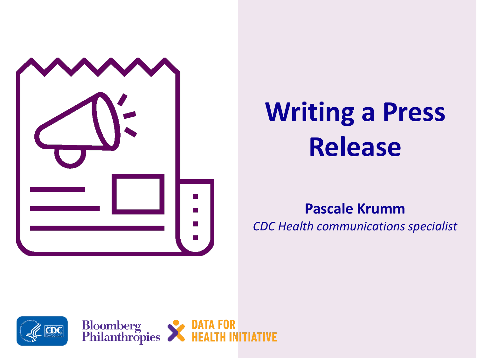

# **Writing a Press Release**

#### **Pascale Krumm** *CDC Health communications specialist*

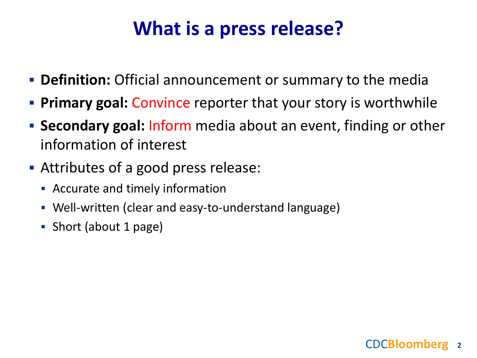# **What is a press release?**

- **Definition:** Official announcement or summary to the media
- **Primary goal:** Convince reporter that your story is worthwhile
- **Secondary goal:** Inform media about an event, finding or other information of interest

- Attributes of a good press release:
	- Accurate and timely information
	- Well-written (clear and easy-to-understand language)
	- Short (about 1 page)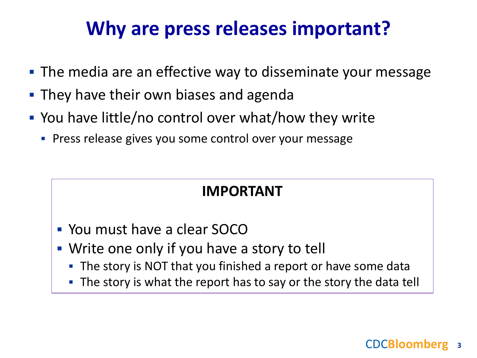# **Why are press releases important?**

- The media are an effective way to disseminate your message
- **They have their own biases and agenda**
- You have little/no control over what/how they write
	- **Press release gives you some control over your message**

#### **IMPORTANT**

- You must have a clear SOCO
- Write one only if you have a story to tell
	- **The story is NOT that you finished a report or have some data**
	- **The story is what the report has to say or the story the data tell**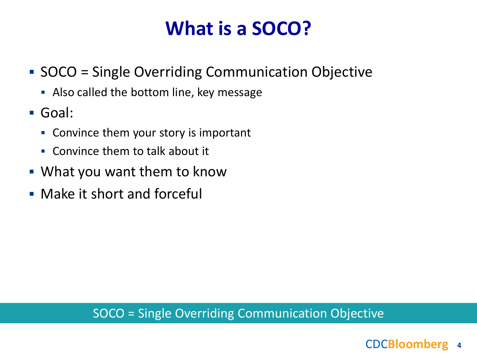# **What is a SOCO?**

- SOCO = Single Overriding Communication Objective
	- Also called the bottom line, key message
- Goal:
	- Convince them your story is important
	- Convince them to talk about it
- What you want them to know
- Make it short and forceful

#### SOCO = Single Overriding Communication Objective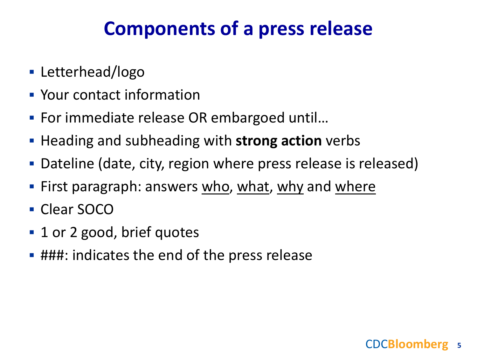### **Components of a press release**

- **Letterhead/logo**
- Your contact information
- For immediate release OR embargoed until...
- **Heading and subheading with strong action** verbs
- Dateline (date, city, region where press release is released)
- First paragraph: answers who, what, why and where
- Clear SOCO
- **1** or 2 good, brief quotes
- **.** ###: indicates the end of the press release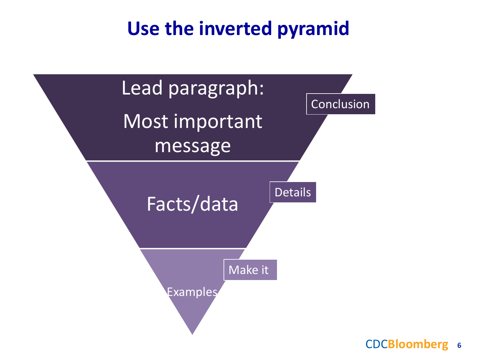# **Use the inverted pyramid**

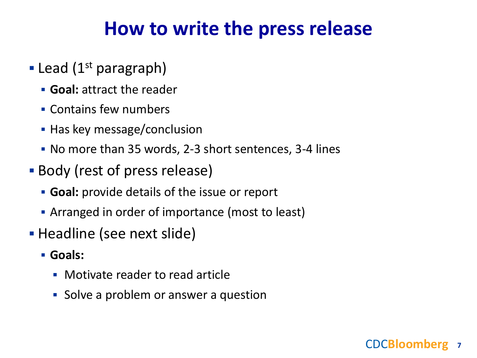#### **How to write the press release**

- **-** Lead (1<sup>st</sup> paragraph)
	- **Goal:** attract the reader
	- Contains few numbers
	- **Has key message/conclusion**
	- No more than 35 words, 2-3 short sentences, 3-4 lines
- Body (rest of press release)
	- **Goal:** provide details of the issue or report
	- Arranged in order of importance (most to least)
- **Headline (see next slide)** 
	- **Goals:** 
		- **Motivate reader to read article**
		- Solve a problem or answer a question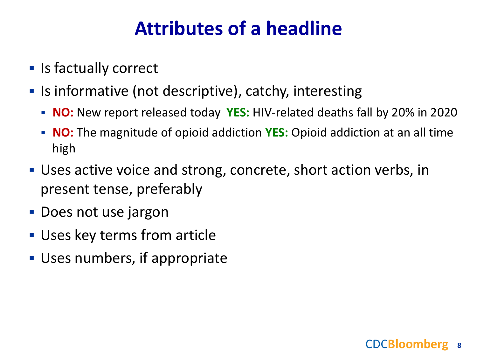### **Attributes of a headline**

- **Io Is factually correct**
- If Is informative (not descriptive), catchy, interesting
	- **NO:** New report released today **YES:** HIV-related deaths fall by 20% in 2020
	- **NO:** The magnitude of opioid addiction **YES:** Opioid addiction at an all time high
- Uses active voice and strong, concrete, short action verbs, in present tense, preferably
- **Does not use jargon**
- Uses key terms from article
- Uses numbers, if appropriate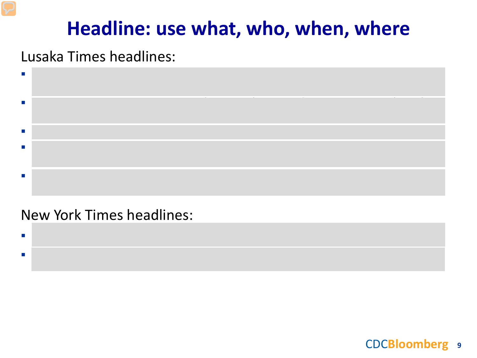# **Headline: use what, who, when, where**

#### Lusaka Times headlines:

| П              |  |
|----------------|--|
| $\Box$         |  |
| T.             |  |
| $\mathbb{R}^3$ |  |
| T.             |  |

#### New York Times headlines:

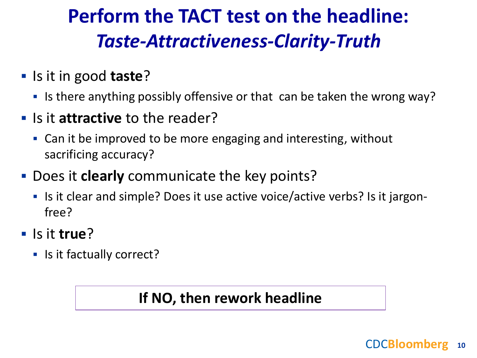# **Perform the TACT test on the headline:**  *Taste-Attractiveness-Clarity-Truth*

- **Iomighthally** Is it in good **taste**?
	- If is there anything possibly offensive or that can be taken the wrong way?
- **If Is it attractive** to the reader?
	- Can it be improved to be more engaging and interesting, without sacrificing accuracy?
- Does it **clearly** communicate the key points?
	- If is it clear and simple? Does it use active voice/active verbs? Is it jargonfree?
- Is it **true**?
	- **In Itides** Is it factually correct?

#### **If NO, then rework headline**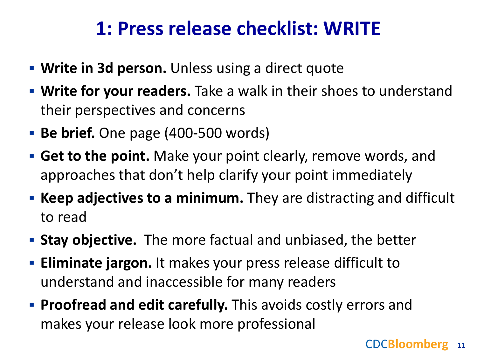#### **1: Press release checklist: WRITE**

- **Write in 3d person.** Unless using a direct quote
- **Write for your readers.** Take a walk in their shoes to understand their perspectives and concerns
- **Be brief.** One page (400-500 words)
- **Get to the point.** Make your point clearly, remove words, and approaches that don't help clarify your point immediately
- **Keep adjectives to a minimum.** They are distracting and difficult to read
- **Stay objective.** The more factual and unbiased, the better
- **Eliminate jargon.** It makes your press release difficult to understand and inaccessible for many readers
- **Proofread and edit carefully.** This avoids costly errors and makes your release look more professional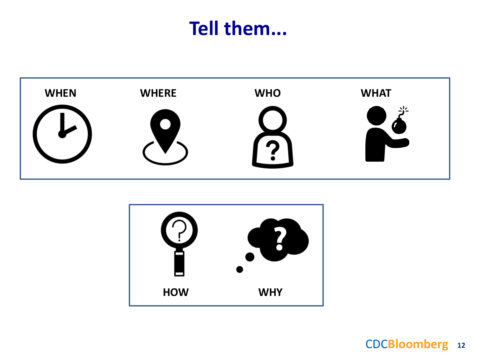#### **Tell them...**



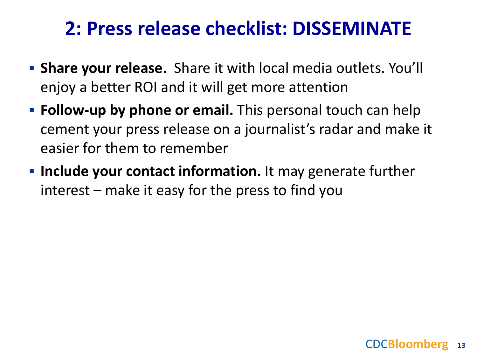### **2: Press release checklist: DISSEMINATE**

- **Share your release.** Share it with local media outlets. You'll enjoy a better ROI and it will get more attention
- **Follow-up by phone or email.** This personal touch can help cement your press release on a journalist's radar and make it easier for them to remember
- **Include your contact information.** It may generate further interest – make it easy for the press to find you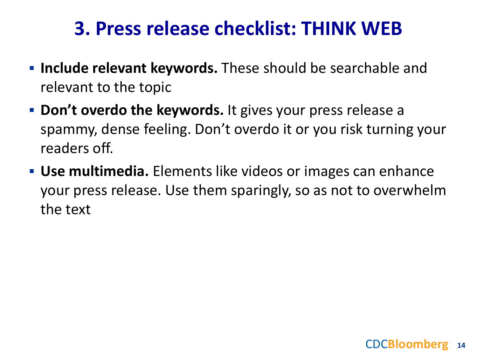### **3. Press release checklist: THINK WEB**

- **Include relevant keywords.** These should be searchable and relevant to the topic
- **Don't overdo the keywords.** It gives your press release a spammy, dense feeling. Don't overdo it or you risk turning your readers off.
- **Use multimedia.** Elements like videos or images can enhance your press release. Use them sparingly, so as not to overwhelm the text